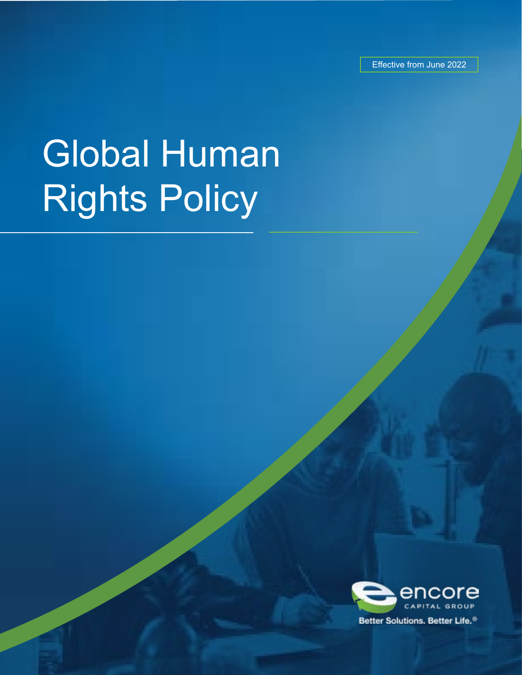Effective from June 2022

# Global Human Rights Policy

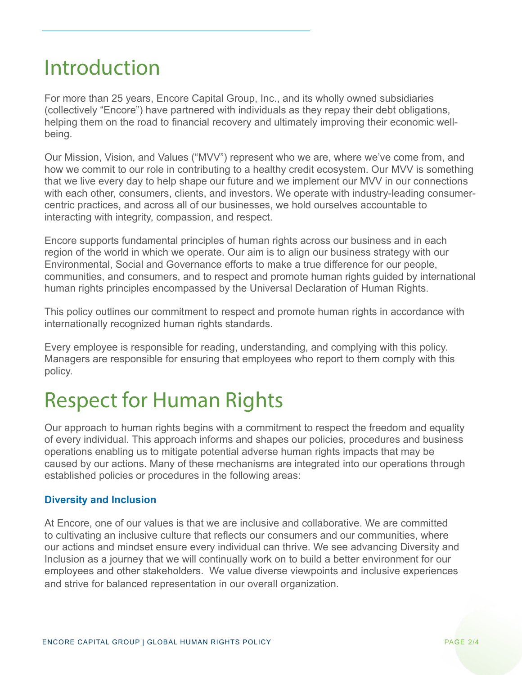## Introduction

For more than 25 years, Encore Capital Group, Inc., and its wholly owned subsidiaries (collectively "Encore") have partnered with individuals as they repay their debt obligations, helping them on the road to financial recovery and ultimately improving their economic wellbeing.

Our Mission, Vision, and Values ("MVV") represent who we are, where we've come from, and how we commit to our role in contributing to a healthy credit ecosystem. Our MVV is something that we live every day to help shape our future and we implement our MVV in our connections with each other, consumers, clients, and investors. We operate with industry-leading consumercentric practices, and across all of our businesses, we hold ourselves accountable to interacting with integrity, compassion, and respect.

Encore supports fundamental principles of human rights across our business and in each region of the world in which we operate. Our aim is to align our business strategy with our Environmental, Social and Governance efforts to make a true difference for our people, communities, and consumers, and to respect and promote human rights guided by international human rights principles encompassed by the Universal Declaration of Human Rights.

This policy outlines our commitment to respect and promote human rights in accordance with internationally recognized human rights standards.

Every employee is responsible for reading, understanding, and complying with this policy. Managers are responsible for ensuring that employees who report to them comply with this policy.

# Respect for Human Rights

Our approach to human rights begins with a commitment to respect the freedom and equality of every individual. This approach informs and shapes our policies, procedures and business operations enabling us to mitigate potential adverse human rights impacts that may be caused by our actions. Many of these mechanisms are integrated into our operations through established policies or procedures in the following areas:

### **Diversity and Inclusion**

At Encore, one of our values is that we are inclusive and collaborative. We are committed to cultivating an inclusive culture that reflects our consumers and our communities, where our actions and mindset ensure every individual can thrive. We see advancing Diversity and Inclusion as a journey that we will continually work on to build a better environment for our employees and other stakeholders. We value diverse viewpoints and inclusive experiences and strive for balanced representation in our overall organization.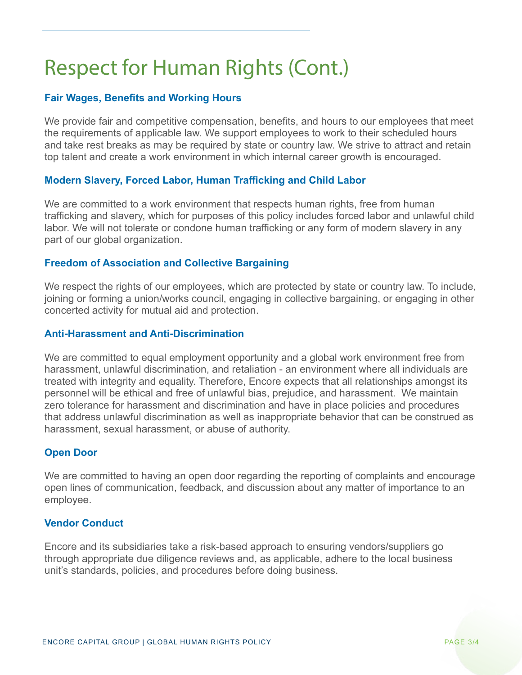# Respect for Human Rights (Cont.)

### **Fair Wages, Benefits and Working Hours**

We provide fair and competitive compensation, benefits, and hours to our employees that meet the requirements of applicable law. We support employees to work to their scheduled hours and take rest breaks as may be required by state or country law. We strive to attract and retain top talent and create a work environment in which internal career growth is encouraged.

### **Modern Slavery, Forced Labor, Human Trafficking and Child Labor**

We are committed to a work environment that respects human rights, free from human trafficking and slavery, which for purposes of this policy includes forced labor and unlawful child labor. We will not tolerate or condone human trafficking or any form of modern slavery in any part of our global organization.

#### **Freedom of Association and Collective Bargaining**

We respect the rights of our employees, which are protected by state or country law. To include, joining or forming a union/works council, engaging in collective bargaining, or engaging in other concerted activity for mutual aid and protection.

#### **Anti-Harassment and Anti-Discrimination**

We are committed to equal employment opportunity and a global work environment free from harassment, unlawful discrimination, and retaliation - an environment where all individuals are treated with integrity and equality. Therefore, Encore expects that all relationships amongst its personnel will be ethical and free of unlawful bias, prejudice, and harassment. We maintain zero tolerance for harassment and discrimination and have in place policies and procedures that address unlawful discrimination as well as inappropriate behavior that can be construed as harassment, sexual harassment, or abuse of authority.

### **Open Door**

We are committed to having an open door regarding the reporting of complaints and encourage open lines of communication, feedback, and discussion about any matter of importance to an employee.

#### **Vendor Conduct**

Encore and its subsidiaries take a risk-based approach to ensuring vendors/suppliers go through appropriate due diligence reviews and, as applicable, adhere to the local business unit's standards, policies, and procedures before doing business.